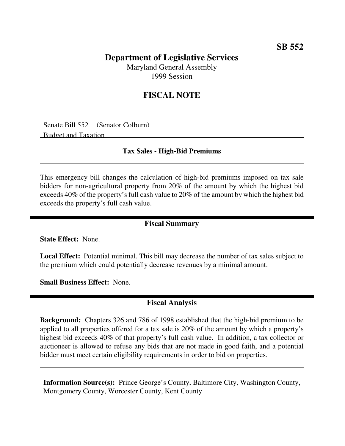## **SB 552**

# **Department of Legislative Services**

Maryland General Assembly 1999 Session

## **FISCAL NOTE**

Senate Bill 552 (Senator Colburn) Budget and Taxation

#### **Tax Sales - High-Bid Premiums**

This emergency bill changes the calculation of high-bid premiums imposed on tax sale bidders for non-agricultural property from 20% of the amount by which the highest bid exceeds 40% of the property's full cash value to 20% of the amount by which the highest bid exceeds the property's full cash value.

#### **Fiscal Summary**

**State Effect:** None.

**Local Effect:** Potential minimal. This bill may decrease the number of tax sales subject to the premium which could potentially decrease revenues by a minimal amount.

**Small Business Effect:** None.

### **Fiscal Analysis**

**Background:** Chapters 326 and 786 of 1998 established that the high-bid premium to be applied to all properties offered for a tax sale is 20% of the amount by which a property's highest bid exceeds 40% of that property's full cash value. In addition, a tax collector or auctioneer is allowed to refuse any bids that are not made in good faith, and a potential bidder must meet certain eligibility requirements in order to bid on properties.

**Information Source(s):** Prince George's County, Baltimore City, Washington County, Montgomery County, Worcester County, Kent County